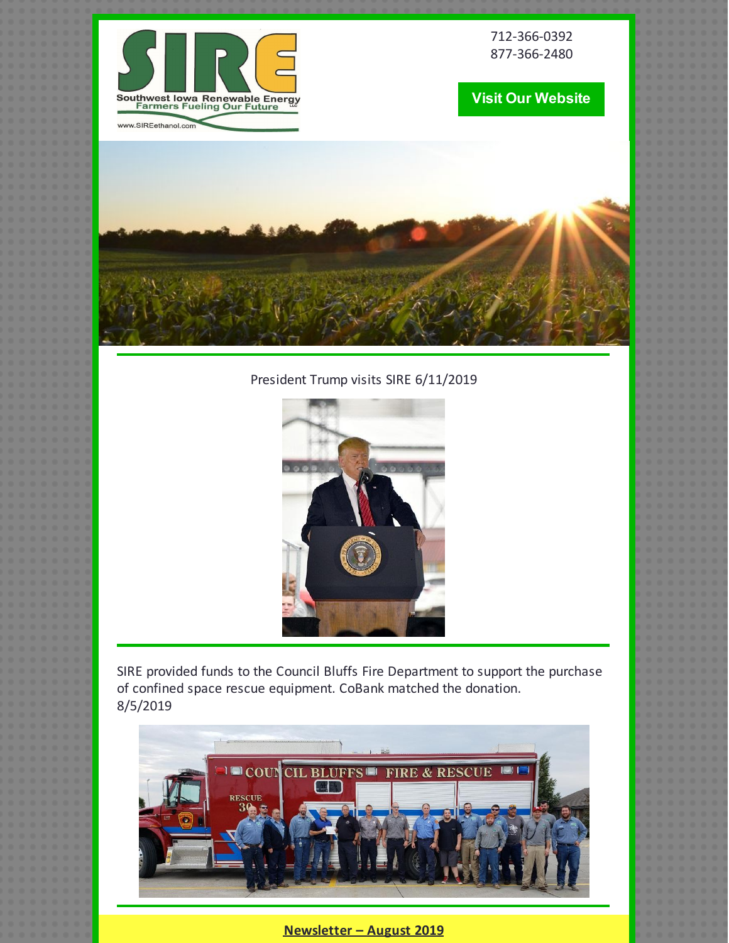

712-366-0392 877-366-2480

# **Visit Our [Website](http://www.sireethanol.com/index.cfm)**



# President Trump visits SIRE 6/11/2019



SIRE provided funds to the Council Bluffs Fire Department to support the purchase of confined space rescue equipment. CoBank matched the donation. 8/5/2019



## **Newsletter – August 2019**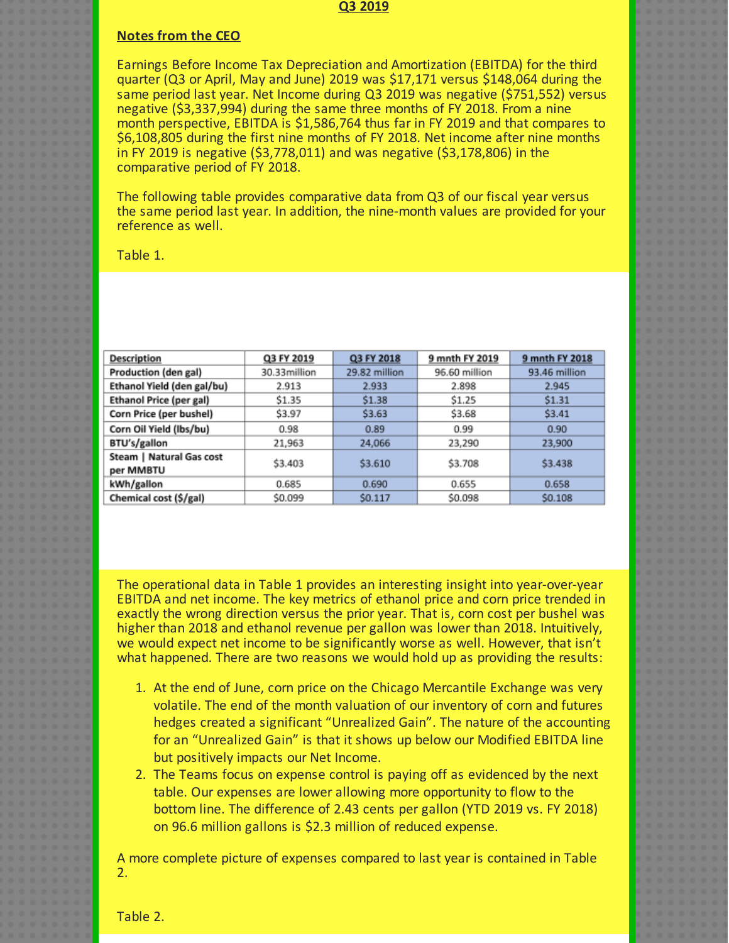#### **Q3 2019**

### **Notes from the CEO**

Earnings Before Income Tax Depreciation and Amortization (EBITDA) for the third quarter (Q3 or April, May and June) 2019 was \$17,171 versus \$148,064 during the same period last year. Net Income during Q3 2019 was negative (\$751,552) versus negative (\$3,337,994) during the same three months of FY 2018. From a nine month perspective, EBITDA is \$1,586,764 thus far in FY 2019 and that compares to \$6,108,805 during the first nine months of FY 2018. Net income after nine months in FY 2019 is negative (\$3,778,011) and was negative (\$3,178,806) in the comparative period of FY 2018.

The following table provides comparative data from Q3 of our fiscal year versus the same period last year. In addition, the nine-month values are provided for your reference as well.

Table 1.

| Description                           | Q3 FY 2019   | Q3 FY 2018    | 9 mnth FY 2019 | 9 mnth FY 2018 |
|---------------------------------------|--------------|---------------|----------------|----------------|
| Production (den gal)                  | 30.33million | 29.82 million | 96.60 million  | 93.46 million  |
| Ethanol Yield (den gal/bu)            | 2.913        | 2.933         | 2.898          | 2.945          |
| <b>Ethanol Price (per gal)</b>        | \$1.35       | \$1.38        | \$1.25         | \$1.31         |
| Corn Price (per bushel)               | \$3.97       | \$3.63        | \$3.68         | \$3.41         |
| Corn Oil Yield (lbs/bu)               | 0.98         | 0.89          | 0.99           | 0.90           |
| BTU's/gallon                          | 21,963       | 24,066        | 23,290         | 23,900         |
| Steam   Natural Gas cost<br>per MMBTU | \$3.403      | \$3.610       | \$3.708        | \$3.438        |
| kWh/gallon                            | 0.685        | 0.690         | 0.655          | 0.658          |
| Chemical cost (\$/gal)                | \$0.099      | \$0.117       | \$0.098        | \$0.108        |

The operational data in Table 1 provides an interesting insight into year-over-year EBITDA and net income. The key metrics of ethanol price and corn price trended in exactly the wrong direction versus the prior year. That is, corn cost per bushel was higher than 2018 and ethanol revenue per gallon was lower than 2018. Intuitively, we would expect net income to be significantly worse as well. However, that isn't what happened. There are two reasons we would hold up as providing the results:

- 1. At the end of June, corn price on the Chicago Mercantile Exchange was very volatile. The end of the month valuation of our inventory of corn and futures hedges created a significant "Unrealized Gain". The nature of the accounting for an "Unrealized Gain" is that it shows up below our Modified EBITDA line but positively impacts our Net Income.
- 2. The Teams focus on expense control is paying off as evidenced by the next table. Our expenses are lower allowing more opportunity to flow to the bottom line. The difference of 2.43 cents per gallon (YTD 2019 vs. FY 2018) on 96.6 million gallons is \$2.3 million of reduced expense.

A more complete picture of expenses compared to last year is contained in Table 2.

Table 2.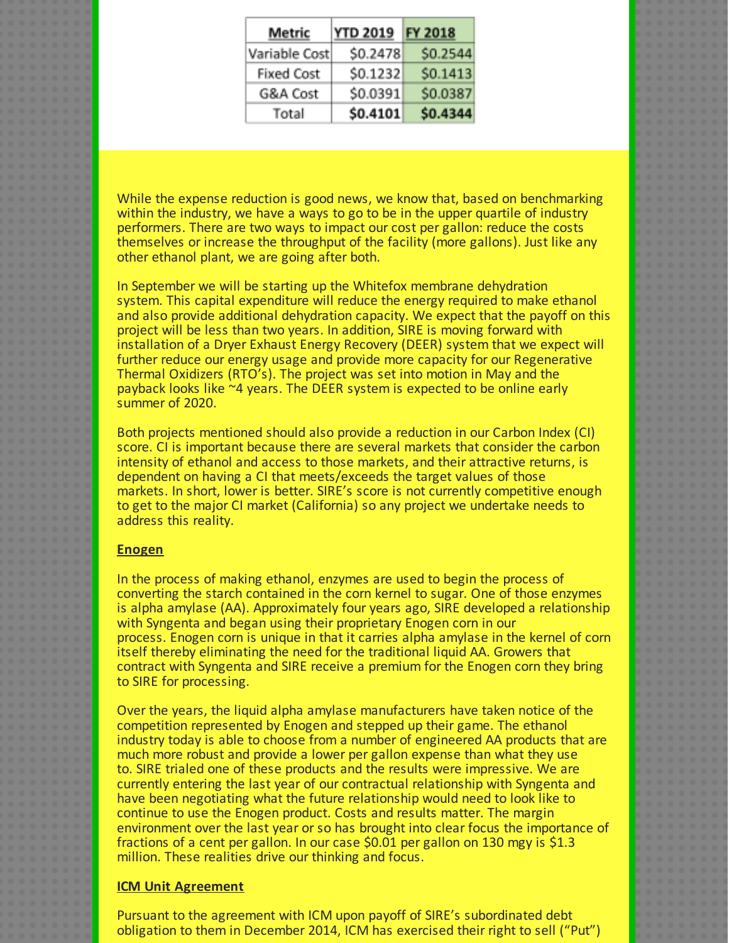| Metric            | <b>YTD 2019</b> | FY 2018  |  |
|-------------------|-----------------|----------|--|
| Variable Costl    | \$0.2478        | \$0.2544 |  |
| <b>Fixed Cost</b> | \$0.1232        | \$0.1413 |  |
| G&A Cost          | \$0.0391        | \$0.0387 |  |
| Total             | \$0.4101        | \$0,4344 |  |

While the expense reduction is good news, we know that, based on benchmarking within the industry, we have a ways to go to be in the upper quartile of industry performers. There are two ways to impact our cost per gallon: reduce the costs themselves or increase the throughput of the facility (more gallons). Just like any other ethanol plant, we are going after both.

In September we will be starting up the Whitefox membrane dehydration system. This capital expenditure will reduce the energy required to make ethanol and also provide additional dehydration capacity. We expect that the payoff on this project will be less than two years. In addition, SIRE is moving forward with installation of a Dryer Exhaust Energy Recovery (DEER) system that we expect will further reduce our energy usage and provide more capacity for our Regenerative Thermal Oxidizers (RTO's). The project was set into motion in May and the payback looks like ~4 years. The DEER system is expected to be online early summer of 2020.

Both projects mentioned should also provide a reduction in our Carbon Index (CI) score. CI is important because there are several markets that consider the carbon intensity of ethanol and access to those markets, and their attractive returns, is dependent on having a CI that meets/exceeds the target values of those markets. In short, lower is better. SIRE's score is not currently competitive enough to get to the major CI market (California) so any project we undertake needs to address this reality.

### **Enogen**

In the process of making ethanol, enzymes are used to begin the process of converting the starch contained in the corn kernel to sugar. One of those enzymes is alpha amylase (AA). Approximately four years ago, SIRE developed a relationship with Syngenta and began using their proprietary Enogen corn in our process. Enogen corn is unique in that it carries alpha amylase in the kernel of corn itself thereby eliminating the need for the traditional liquid AA. Growers that contract with Syngenta and SIRE receive a premium for the Enogen corn they bring to SIRE for processing.

Over the years, the liquid alpha amylase manufacturers have taken notice of the competition represented by Enogen and stepped up their game. The ethanol industry today is able to choose from a number of engineered AA products that are much more robust and provide a lower per gallon expense than what they use to. SIRE trialed one of these products and the results were impressive. We are currently entering the last year of our contractual relationship with Syngenta and have been negotiating what the future relationship would need to look like to continue to use the Enogen product. Costs and results matter. The margin environment over the last year or so has brought into clear focus the importance of fractions of a cent per gallon. In our case \$0.01 per gallon on 130 mgy is \$1.3 million. These realities drive our thinking and focus.

### **ICM Unit Agreement**

Pursuant to the agreement with ICM upon payoff of SIRE's subordinated debt obligation to them in December 2014, ICM has exercised their right to sell ("Put")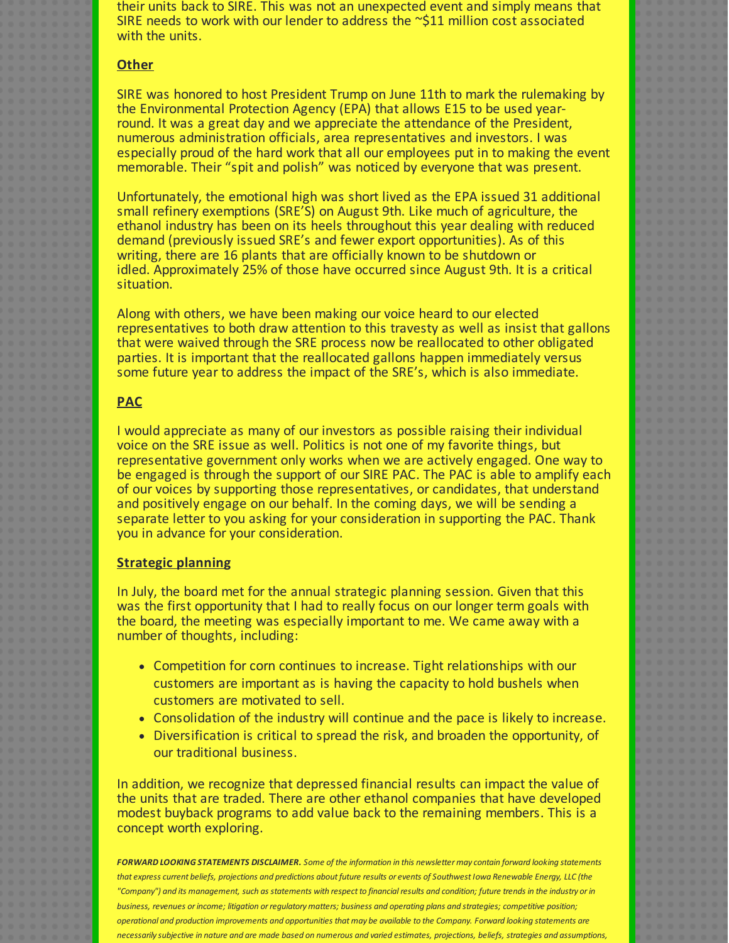their units back to SIRE. This was not an unexpected event and simply means that SIRE needs to work with our lender to address the ~\$11 million cost associated with the units.

#### **Other**

SIRE was honored to host President Trump on June 11th to mark the rulemaking by the Environmental Protection Agency (EPA) that allows E15 to be used yearround. It was a great day and we appreciate the attendance of the President, numerous administration officials, area representatives and investors. I was especially proud of the hard work that all our employees put in to making the event memorable. Their "spit and polish" was noticed by everyone that was present.

Unfortunately, the emotional high was short lived as the EPA issued 31 additional small refinery exemptions (SRE'S) on August 9th. Like much of agriculture, the ethanol industry has been on its heels throughout this year dealing with reduced demand (previously issued SRE's and fewer export opportunities). As of this writing, there are 16 plants that are officially known to be shutdown or idled. Approximately 25% of those have occurred since August 9th. It is a critical situation.

Along with others, we have been making our voice heard to our elected representatives to both draw attention to this travesty as well as insist that gallons that were waived through the SRE process now be reallocated to other obligated parties. It is important that the reallocated gallons happen immediately versus some future year to address the impact of the SRE's, which is also immediate.

# **PAC**

I would appreciate as many of our investors as possible raising their individual voice on the SRE issue as well. Politics is not one of my favorite things, but representative government only works when we are actively engaged. One way to be engaged is through the support of our SIRE PAC. The PAC is able to amplify each of our voices by supporting those representatives, or candidates, that understand and positively engage on our behalf. In the coming days, we will be sending a separate letter to you asking for your consideration in supporting the PAC. Thank you in advance for your consideration.

### **Strategic planning**

In July, the board met for the annual strategic planning session. Given that this was the first opportunity that I had to really focus on our longer term goals with the board, the meeting was especially important to me. We came away with a number of thoughts, including:

- Competition for corn continues to increase. Tight relationships with our customers are important as is having the capacity to hold bushels when customers are motivated to sell.
- Consolidation of the industry will continue and the pace is likely to increase.
- Diversification is critical to spread the risk, and broaden the opportunity, of our traditional business.

In addition, we recognize that depressed financial results can impact the value of the units that are traded. There are other ethanol companies that have developed modest buyback programs to add value back to the remaining members. This is a concept worth exploring.

FORWARD LOOKING STATEMENTS DISCLAIMER. Some of the information in this newsletter may contain forward looking statements that express current beliefs, projections and predictions about future results or events of Southwest Jowa Renewable Eneray, LLC (the "Company") and its management, such as statements with respect to financial results and condition; future trends in the industry or in *business, revenues orincome; litigation orregulatorymatters; business and operating plans and strategies; competitive position;* operational and production improvements and opportunities that may be available to the Company. Forward looking statements are necessarily subjective in nature and are made based on numerous and varied estimates, projections, beliefs, strategies and assumptions,